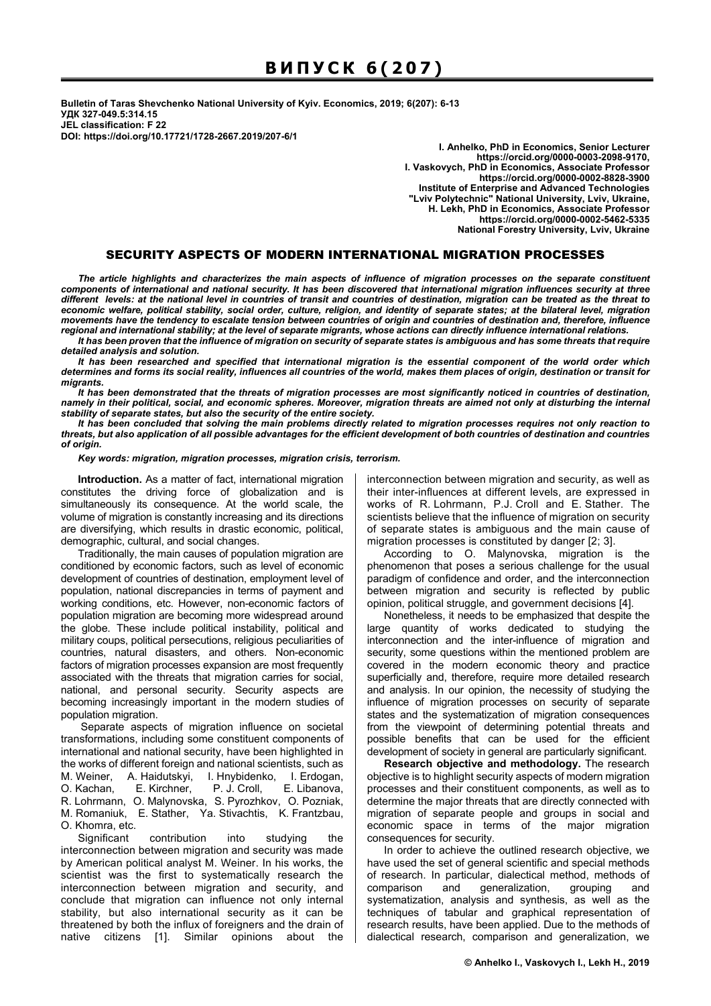**Bulletin of Taras Shevchenko National University of Kyiv. Economics, 2019; 6(207): 6-13 УДК 327-049.5:314.15 JEL classification: F 22 DOI: https://doi.org/10.17721/1728-2667.2019/207-6/1** 

**I. Anhelko, PhD in Economics, Senior Lecturer https://orcid.org/0000-0003-2098-9170, I. Vaskovych, PhD in Economics, Associate Professor https://orcid.org/0000-0002-8828-3900 Institute of Enterprise and Advanced Technologies "Lviv Polytechnic" National University, Lviv, Ukraine, H. Lekh, PhD in Economics, Associate Professor https://orcid.org/0000-0002-5462-5335 National Forestry University, Lviv, Ukraine** 

# SECURITY ASPECTS OF MODERN INTERNATIONAL MIGRATION PROCESSES

*The article highlights and characterizes the main aspects of influence of migration processes on the separate constituent components of international and national security. It has been discovered that international migration influences security at three different levels: at the national level in countries of transit and countries of destination, migration can be treated as the threat to economic welfare, political stability, social order, culture, religion, and identity of separate states; at the bilateral level, migration movements have the tendency to escalate tension between countries of origin and countries of destination and, therefore, influence regional and international stability; at the level of separate migrants, whose actions can directly influence international relations.* 

*It has been proven that the influence of migration on security of separate states is ambiguous and has some threats that require detailed analysis and solution.* 

*It has been researched and specified that international migration is the essential component of the world order which determines and forms its social reality, influences all countries of the world, makes them places of origin, destination or transit for migrants.* 

*It has been demonstrated that the threats of migration processes are most significantly noticed in countries of destination, namely in their political, social, and economic spheres. Moreover, migration threats are aimed not only at disturbing the internal stability of separate states, but also the security of the entire society.* 

*It has been concluded that solving the main problems directly related to migration processes requires not only reaction to threats, but also application of all possible advantages for the efficient development of both countries of destination and countries of origin.* 

*Key words: migration, migration processes, migration crisis, terrorism.* 

**Introduction.** As a matter of fact, international migration constitutes the driving force of globalization and is simultaneously its consequence. At the world scale, the volume of migration is constantly increasing and its directions are diversifying, which results in drastic economic, political, demographic, cultural, and social changes.

Traditionally, the main causes of population migration are conditioned by economic factors, such as level of economic development of countries of destination, employment level of population, national discrepancies in terms of payment and working conditions, etc. However, non-economic factors of population migration are becoming more widespread around the globe. These include political instability, political and military coups, political persecutions, religious peculiarities of countries, natural disasters, and others. Non-economic factors of migration processes expansion are most frequently associated with the threats that migration carries for social, national, and personal security. Security aspects are becoming increasingly important in the modern studies of population migration.

 Separate aspects of migration influence on societal transformations, including some constituent components of international and national security, have been highlighted in the works of different foreign and national scientists, such as M. Weiner, A. Haidutskyi, I. Hnybidenko, I. Erdogan, O. Kachan, E. Kirchner, P. J. Croll, E. Libanova, R. Lohrmann, O. Malynovska, S. Pyrozhkov, O. Pozniak, M. Romaniuk, E. Stather, Ya. Stivachtis, K. Frantzbau, O. Khomra, etc.

Significant contribution into studying the interconnection between migration and security was made by American political analyst M. Weiner. In his works, the scientist was the first to systematically research the interconnection between migration and security, and conclude that migration can influence not only internal stability, but also international security as it can be threatened by both the influx of foreigners and the drain of native citizens [1]. Similar opinions about the

interconnection between migration and security, as well as their inter-influences at different levels, are expressed in works of R. Lohrmann, P.J. Croll and E. Stather. The scientists believe that the influence of migration on security of separate states is ambiguous and the main cause of migration processes is constituted by danger [2; 3].

According to O. Malynovska, migration is the phenomenon that poses a serious challenge for the usual paradigm of confidence and order, and the interconnection between migration and security is reflected by public opinion, political struggle, and government decisions [4].

Nonetheless, it needs to be emphasized that despite the large quantity of works dedicated to studying the interconnection and the inter-influence of migration and security, some questions within the mentioned problem are covered in the modern economic theory and practice superficially and, therefore, require more detailed research and analysis. In our opinion, the necessity of studying the influence of migration processes on security of separate states and the systematization of migration consequences from the viewpoint of determining potential threats and possible benefits that can be used for the efficient development of society in general are particularly significant.

**Research objective and methodology.** The research objective is to highlight security aspects of modern migration processes and their constituent components, as well as to determine the major threats that are directly connected with migration of separate people and groups in social and economic space in terms of the major migration consequences for security.

In order to achieve the outlined research objective, we have used the set of general scientific and special methods of research. In particular, dialectical method, methods of comparison and generalization, grouping and systematization, analysis and synthesis, as well as the techniques of tabular and graphical representation of research results, have been applied. Due to the methods of dialectical research, comparison and generalization, we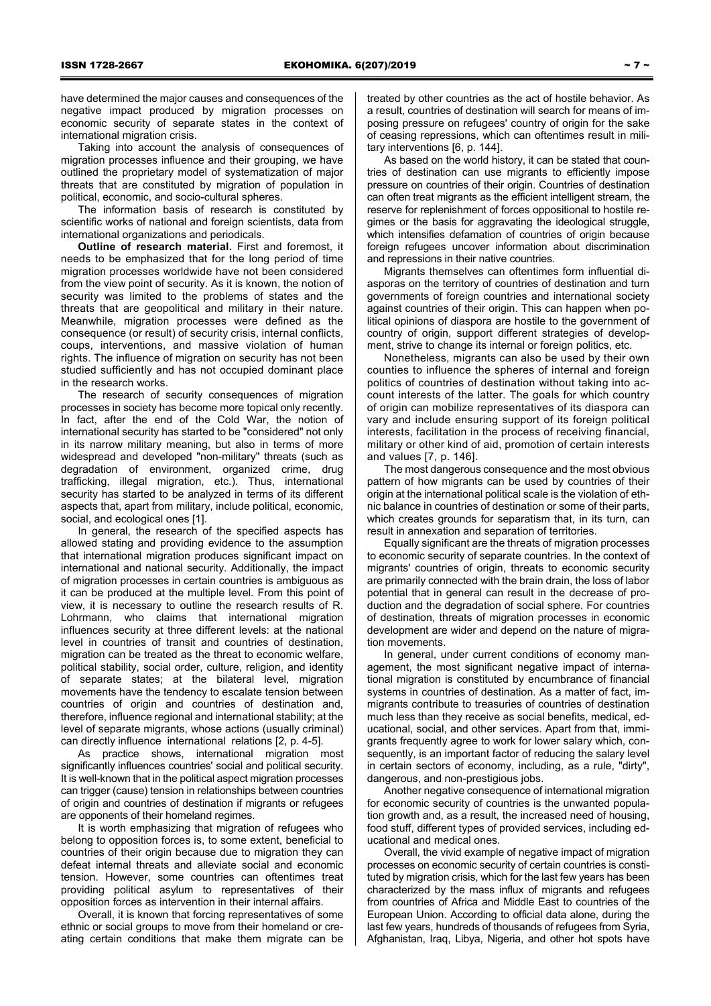have determined the major causes and consequences of the negative impact produced by migration processes on economic security of separate states in the context of international migration crisis.

Taking into account the analysis of consequences of migration processes influence and their grouping, we have outlined the proprietary model of systematization of major threats that are constituted by migration of population in political, economic, and socio-cultural spheres.

The information basis of research is constituted by scientific works of national and foreign scientists, data from international organizations and periodicals.

**Outline of research material.** First and foremost, it needs to be emphasized that for the long period of time migration processes worldwide have not been considered from the view point of security. As it is known, the notion of security was limited to the problems of states and the threats that are geopolitical and military in their nature. Meanwhile, migration processes were defined as the consequence (or result) of security crisis, internal conflicts, coups, interventions, and massive violation of human rights. The influence of migration on security has not been studied sufficiently and has not occupied dominant place in the research works.

The research of security consequences of migration processes in society has become more topical only recently. In fact, after the end of the Cold War, the notion of international security has started to be "considered" not only in its narrow military meaning, but also in terms of more widespread and developed "non-military" threats (such as degradation of environment, organized crime, drug trafficking, illegal migration, etc.). Thus, international security has started to be analyzed in terms of its different aspects that, apart from military, include political, economic, social, and ecological ones [1].

In general, the research of the specified aspects has allowed stating and providing evidence to the assumption that international migration produces significant impact on international and national security. Additionally, the impact of migration processes in certain countries is ambiguous as it can be produced at the multiple level. From this point of view, it is necessary to outline the research results of R. Lohrmann, who claims that international migration influences security at three different levels: at the national level in countries of transit and countries of destination, migration can be treated as the threat to economic welfare, political stability, social order, culture, religion, and identity of separate states; at the bilateral level, migration movements have the tendency to escalate tension between countries of origin and countries of destination and, therefore, influence regional and international stability; at the level of separate migrants, whose actions (usually criminal) can directly influence international relations [2, p. 4-5].

As practice shows, international migration most significantly influences countries' social and political security. It is well-known that in the political aspect migration processes can trigger (cause) tension in relationships between countries of origin and countries of destination if migrants or refugees are opponents of their homeland regimes.

It is worth emphasizing that migration of refugees who belong to opposition forces is, to some extent, beneficial to countries of their origin because due to migration they can defeat internal threats and alleviate social and economic tension. However, some countries can oftentimes treat providing political asylum to representatives of their opposition forces as intervention in their internal affairs.

Overall, it is known that forcing representatives of some ethnic or social groups to move from their homeland or creating certain conditions that make them migrate can be

treated by other countries as the act of hostile behavior. As a result, countries of destination will search for means of imposing pressure on refugees' country of origin for the sake of ceasing repressions, which can oftentimes result in military interventions [6, p. 144].

As based on the world history, it can be stated that countries of destination can use migrants to efficiently impose pressure on countries of their origin. Countries of destination can often treat migrants as the efficient intelligent stream, the reserve for replenishment of forces oppositional to hostile regimes or the basis for aggravating the ideological struggle, which intensifies defamation of countries of origin because foreign refugees uncover information about discrimination and repressions in their native countries.

Migrants themselves can oftentimes form influential diasporas on the territory of countries of destination and turn governments of foreign countries and international society against countries of their origin. This can happen when political opinions of diaspora are hostile to the government of country of origin, support different strategies of development, strive to change its internal or foreign politics, etc.

Nonetheless, migrants can also be used by their own counties to influence the spheres of internal and foreign politics of countries of destination without taking into account interests of the latter. The goals for which country of origin can mobilize representatives of its diaspora can vary and include ensuring support of its foreign political interests, facilitation in the process of receiving financial, military or other kind of aid, promotion of certain interests and values [7, p. 146].

The most dangerous consequence and the most obvious pattern of how migrants can be used by countries of their origin at the international political scale is the violation of ethnic balance in countries of destination or some of their parts, which creates grounds for separatism that, in its turn, can result in annexation and separation of territories.

Equally significant are the threats of migration processes to economic security of separate countries. In the context of migrants' countries of origin, threats to economic security are primarily connected with the brain drain, the loss of labor potential that in general can result in the decrease of production and the degradation of social sphere. For countries of destination, threats of migration processes in economic development are wider and depend on the nature of migration movements.

In general, under current conditions of economy management, the most significant negative impact of international migration is constituted by encumbrance of financial systems in countries of destination. As a matter of fact, immigrants contribute to treasuries of countries of destination much less than they receive as social benefits, medical, educational, social, and other services. Apart from that, immigrants frequently agree to work for lower salary which, consequently, is an important factor of reducing the salary level in certain sectors of economy, including, as a rule, "dirty", dangerous, and non-prestigious jobs.

Another negative consequence of international migration for economic security of countries is the unwanted population growth and, as a result, the increased need of housing, food stuff, different types of provided services, including educational and medical ones.

Overall, the vivid example of negative impact of migration processes on economic security of certain countries is constituted by migration crisis, which for the last few years has been characterized by the mass influx of migrants and refugees from countries of Africa and Middle East to countries of the European Union. According to official data alone, during the last few years, hundreds of thousands of refugees from Syria, Afghanistan, Iraq, Libya, Nigeria, and other hot spots have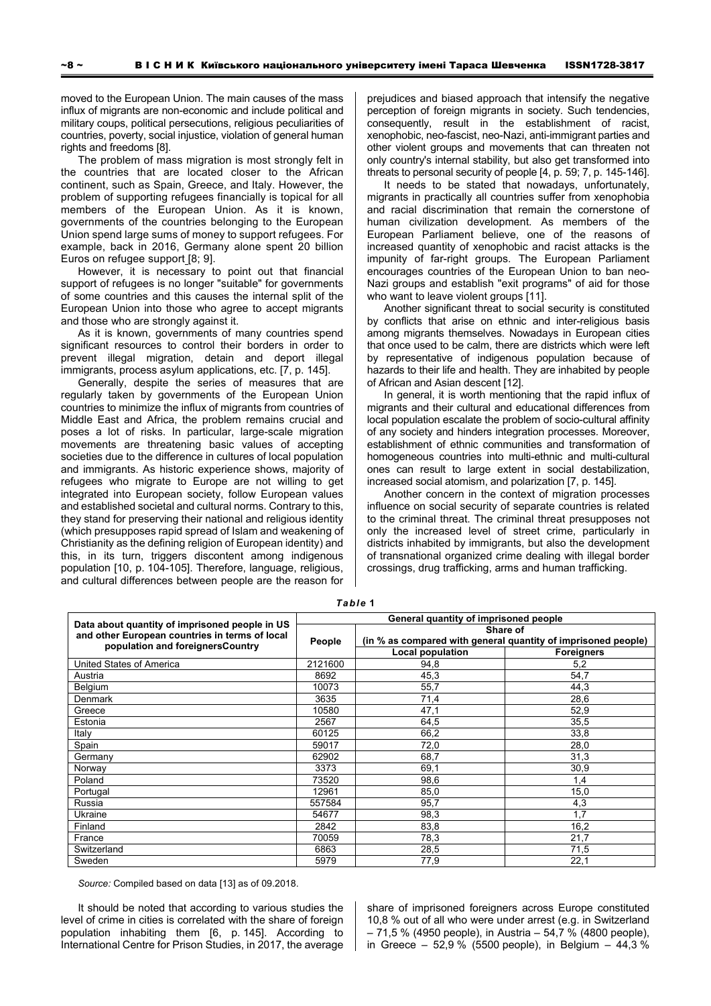moved to the European Union. The main causes of the mass influx of migrants are non-economic and include political and military coups, political persecutions, religious peculiarities of countries, poverty, social injustice, violation of general human rights and freedoms [8].

The problem of mass migration is most strongly felt in the countries that are located closer to the African continent, such as Spain, Greece, and Italy. However, the problem of supporting refugees financially is topical for all members of the European Union. As it is known, governments of the countries belonging to the European Union spend large sums of money to support refugees. For example, back in 2016, Germany alone spent 20 billion Euros on refugee support [8; 9].

However, it is necessary to point out that financial support of refugees is no longer "suitable" for governments of some countries and this causes the internal split of the European Union into those who agree to accept migrants and those who are strongly against it.

As it is known, governments of many countries spend significant resources to control their borders in order to prevent illegal migration, detain and deport illegal immigrants, process asylum applications, etc. [7, p. 145].

Generally, despite the series of measures that are regularly taken by governments of the European Union countries to minimize the influx of migrants from countries of Middle East and Africa, the problem remains crucial and poses a lot of risks. In particular, large-scale migration movements are threatening basic values of accepting societies due to the difference in cultures of local population and immigrants. As historic experience shows, majority of refugees who migrate to Europe are not willing to get integrated into European society, follow European values and established societal and cultural norms. Contrary to this, they stand for preserving their national and religious identity (which presupposes rapid spread of Islam and weakening of Christianity as the defining religion of European identity) and this, in its turn, triggers discontent among indigenous population [10, p. 104-105]. Therefore, language, religious, and cultural differences between people are the reason for

prejudices and biased approach that intensify the negative perception of foreign migrants in society. Such tendencies, consequently, result in the establishment of racist, xenophobic, neo-fascist, neo-Nazi, anti-immigrant parties and other violent groups and movements that can threaten not only country's internal stability, but also get transformed into threats to personal security of people [4, p. 59; 7, p. 145-146].

It needs to be stated that nowadays, unfortunately, migrants in practically all countries suffer from xenophobia and racial discrimination that remain the cornerstone of human civilization development. As members of the European Parliament believe, one of the reasons of increased quantity of xenophobic and racist attacks is the impunity of far-right groups. The European Parliament encourages countries of the European Union to ban neo-Nazi groups and establish "exit programs" of aid for those who want to leave violent groups [11].

Another significant threat to social security is constituted by conflicts that arise on ethnic and inter-religious basis among migrants themselves. Nowadays in European cities that once used to be calm, there are districts which were left by representative of indigenous population because of hazards to their life and health. They are inhabited by people of African and Asian descent [12].

In general, it is worth mentioning that the rapid influx of migrants and their cultural and educational differences from local population escalate the problem of socio-cultural affinity of any society and hinders integration processes. Moreover, establishment of ethnic communities and transformation of homogeneous countries into multi-ethnic and multi-cultural ones can result to large extent in social destabilization, increased social atomism, and polarization [7, p. 145].

Another concern in the context of migration processes influence on social security of separate countries is related to the criminal threat. The criminal threat presupposes not only the increased level of street crime, particularly in districts inhabited by immigrants, but also the development of transnational organized crime dealing with illegal border crossings, drug trafficking, arms and human trafficking.

| Data about quantity of imprisoned people in US<br>and other European countries in terms of local<br>population and foreignersCountry | General quantity of imprisoned people |                                                               |                   |
|--------------------------------------------------------------------------------------------------------------------------------------|---------------------------------------|---------------------------------------------------------------|-------------------|
|                                                                                                                                      | People                                | Share of                                                      |                   |
|                                                                                                                                      |                                       | (in % as compared with general quantity of imprisoned people) |                   |
|                                                                                                                                      |                                       | Local population                                              | <b>Foreigners</b> |
| United States of America                                                                                                             | 2121600                               | 94,8                                                          | 5,2               |
| Austria                                                                                                                              | 8692                                  | 45,3                                                          | 54,7              |
| Belgium                                                                                                                              | 10073                                 | 55,7                                                          | 44,3              |
| Denmark                                                                                                                              | 3635                                  | 71,4                                                          | 28,6              |
| Greece                                                                                                                               | 10580                                 | 47,1                                                          | 52,9              |
| Estonia                                                                                                                              | 2567                                  | 64,5                                                          | 35,5              |
| Italy                                                                                                                                | 60125                                 | 66,2                                                          | 33,8              |
| Spain                                                                                                                                | 59017                                 | 72,0                                                          | 28,0              |
| Germany                                                                                                                              | 62902                                 | 68,7                                                          | 31,3              |
| Norway                                                                                                                               | 3373                                  | 69,1                                                          | 30,9              |
| Poland                                                                                                                               | 73520                                 | 98,6                                                          | 1,4               |
| Portugal                                                                                                                             | 12961                                 | 85,0                                                          | 15,0              |
| Russia                                                                                                                               | 557584                                | 95,7                                                          | 4,3               |
| Ukraine                                                                                                                              | 54677                                 | 98,3                                                          | 1.7               |
| Finland                                                                                                                              | 2842                                  | 83,8                                                          | 16,2              |
| France                                                                                                                               | 70059                                 | 78,3                                                          | 21,7              |
| Switzerland                                                                                                                          | 6863                                  | 28,5                                                          | 71,5              |
| Sweden                                                                                                                               | 5979                                  | 77,9                                                          | 22,1              |

*Table* **1** 

*Source:* Compiled based on data [13] as of 09.2018.

It should be noted that according to various studies the level of crime in cities is correlated with the share of foreign population inhabiting them [6, p. 145]. According to International Centre for Prison Studies, in 2017, the average

share of imprisoned foreigners across Europe constituted 10,8 % out of all who were under arrest (e.g. in Switzerland – 71,5 % (4950 people), in Austria – 54,7 % (4800 people), in Greece – 52,9 % (5500 people), in Belgium – 44,3 %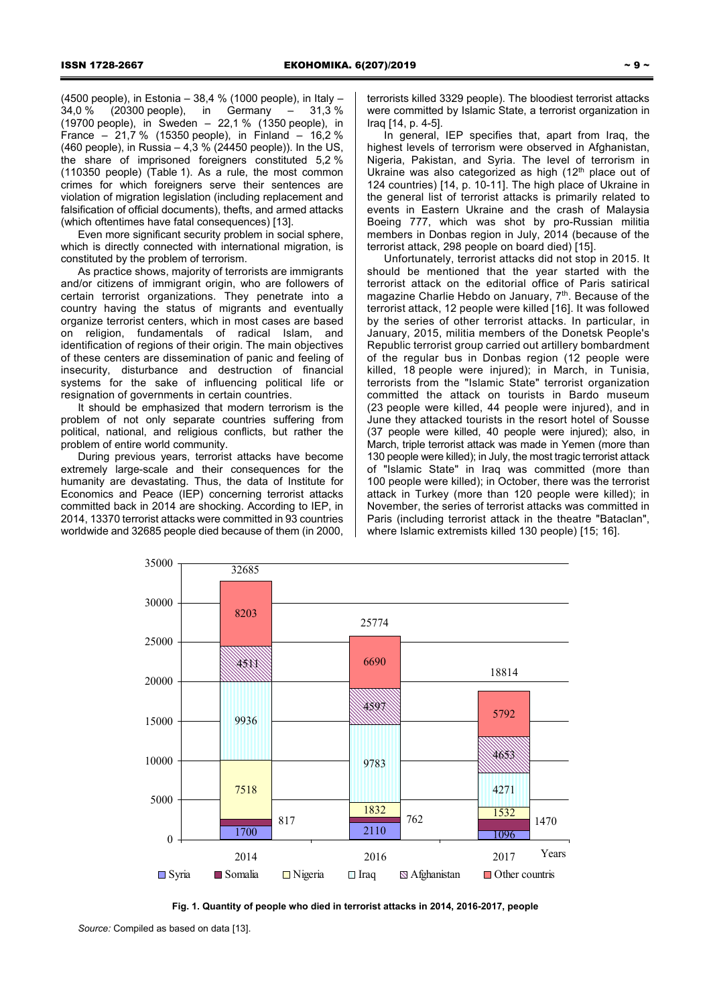(4500 people), in Estonia – 38,4 % (1000 people), in Italy – 34,0 % (20300 people), in Germany – 31,3 % (19700 people), in Sweden – 22,1 % (1350 people), in France – 21,7 % (15350 people), in Finland – 16,2 % (460 people), in Russia – 4,3 % (24450 people)). In the US, the share of imprisoned foreigners constituted 5,2 % (110350 people) (Table 1). As a rule, the most common crimes for which foreigners serve their sentences are violation of migration legislation (including replacement and falsification of official documents), thefts, and armed attacks (which oftentimes have fatal consequences) [13].

Even more significant security problem in social sphere, which is directly connected with international migration, is constituted by the problem of terrorism.

As practice shows, majority of terrorists are immigrants and/or citizens of immigrant origin, who are followers of certain terrorist organizations. They penetrate into a country having the status of migrants and eventually organize terrorist centers, which in most cases are based on religion, fundamentals of radical Islam, and identification of regions of their origin. The main objectives of these centers are dissemination of panic and feeling of insecurity, disturbance and destruction of financial systems for the sake of influencing political life or resignation of governments in certain countries.

It should be emphasized that modern terrorism is the problem of not only separate countries suffering from political, national, and religious conflicts, but rather the problem of entire world community.

During previous years, terrorist attacks have become extremely large-scale and their consequences for the humanity are devastating. Thus, the data of Institute for Economics and Peace (IEP) concerning terrorist attacks committed back in 2014 are shocking. According to IEP, in 2014, 13370 terrorist attacks were committed in 93 countries worldwide and 32685 people died because of them (in 2000,

terrorists killed 3329 people). The bloodiest terrorist attacks were committed by Islamic State, a terrorist organization in Iraq [14, p. 4-5].

In general, IEP specifies that, apart from Iraq, the highest levels of terrorism were observed in Afghanistan, Nigeria, Pakistan, and Syria. The level of terrorism in Ukraine was also categorized as high (12<sup>th</sup> place out of 124 countries) [14, p. 10-11]. The high place of Ukraine in the general list of terrorist attacks is primarily related to events in Eastern Ukraine and the crash of Malaysia Boeing 777, which was shot by pro-Russian militia members in Donbas region in July, 2014 (because of the terrorist attack, 298 people on board died) [15].

Unfortunately, terrorist attacks did not stop in 2015. It should be mentioned that the year started with the terrorist attack on the editorial office of Paris satirical magazine Charlie Hebdo on January, 7<sup>th</sup>. Because of the terrorist attack, 12 people were killed [16]. It was followed by the series of other terrorist attacks. In particular, in January, 2015, militia members of the Donetsk People's Republic terrorist group carried out artillery bombardment of the regular bus in Donbas region (12 people were killed, 18 people were injured); in March, in Tunisia, terrorists from the "Islamic State" terrorist organization committed the attack on tourists in Bardo museum (23 people were killed, 44 people were injured), and in June they attacked tourists in the resort hotel of Sousse (37 people were killed, 40 people were injured); also, in March, triple terrorist attack was made in Yemen (more than 130 people were killed); in July, the most tragic terrorist attack of "Islamic State" in Iraq was committed (more than 100 people were killed); in October, there was the terrorist attack in Turkey (more than 120 people were killed); in November, the series of terrorist attacks was committed in Paris (including terrorist attack in the theatre "Bataclan", where Islamic extremists killed 130 people) [15; 16].





*Source:* Compiled as based on data [13].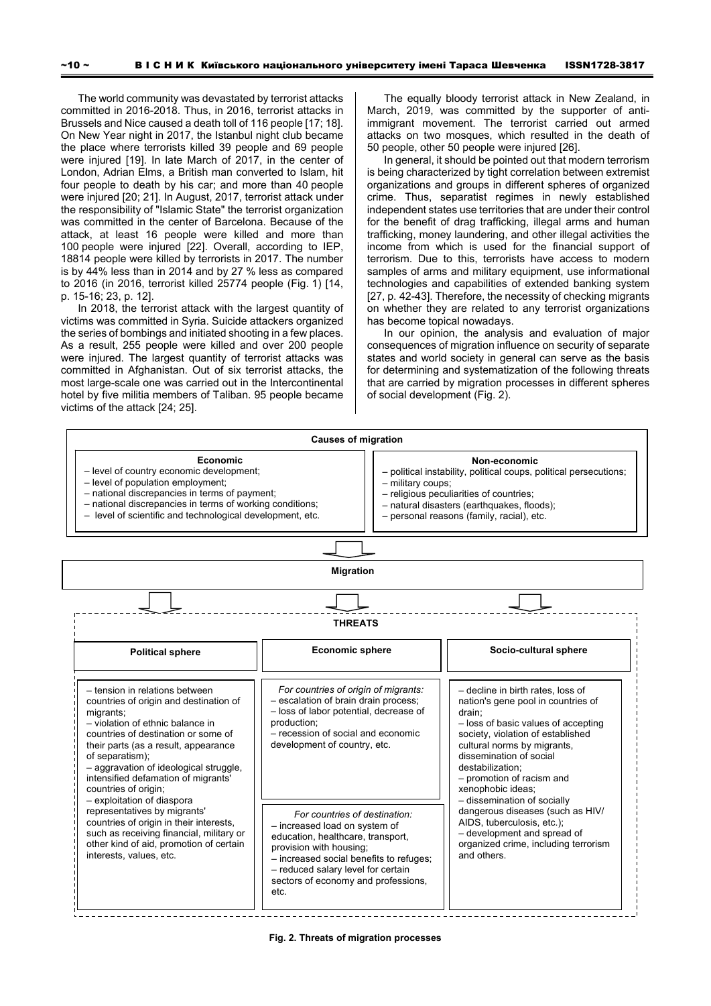The world community was devastated by terrorist attacks committed in 2016-2018. Thus, in 2016, terrorist attacks in Brussels and Nice caused a death toll of 116 people [17; 18]. On New Year night in 2017, the Istanbul night club became the place where terrorists killed 39 people and 69 people were injured [19]. In late March of 2017, in the center of London, Adrian Elms, a British man converted to Islam, hit four people to death by his car; and more than 40 people were injured [20; 21]. In August, 2017, terrorist attack under the responsibility of "Islamic State" the terrorist organization was committed in the center of Barcelona. Because of the attack, at least 16 people were killed and more than 100 people were injured [22]. Overall, according to IEP, 18814 people were killed by terrorists in 2017. The number is by 44% less than in 2014 and by 27 % less as compared to 2016 (in 2016, terrorist killed 25774 people (Fig. 1) [14, p. 15-16; 23, p. 12].

In 2018, the terrorist attack with the largest quantity of victims was committed in Syria. Suicide attackers organized the series of bombings and initiated shooting in a few places. As a result, 255 people were killed and over 200 people were injured. The largest quantity of terrorist attacks was committed in Afghanistan. Out of six terrorist attacks, the most large-scale one was carried out in the Intercontinental hotel by five militia members of Taliban. 95 people became victims of the attack [24; 25].

The equally bloody terrorist attack in New Zealand, in March, 2019, was committed by the supporter of antiimmigrant movement. The terrorist carried out armed attacks on two mosques, which resulted in the death of 50 people, other 50 people were injured [26].

In general, it should be pointed out that modern terrorism is being characterized by tight correlation between extremist organizations and groups in different spheres of organized crime. Thus, separatist regimes in newly established independent states use territories that are under their control for the benefit of drag trafficking, illegal arms and human trafficking, money laundering, and other illegal activities the income from which is used for the financial support of terrorism. Due to this, terrorists have access to modern samples of arms and military equipment, use informational technologies and capabilities of extended banking system [27, p. 42-43]. Therefore, the necessity of checking migrants on whether they are related to any terrorist organizations has become topical nowadays.

In our opinion, the analysis and evaluation of major consequences of migration influence on security of separate states and world society in general can serve as the basis for determining and systematization of the following threats that are carried by migration processes in different spheres of social development (Fig. 2).



**Fig. 2. Threats of migration processes**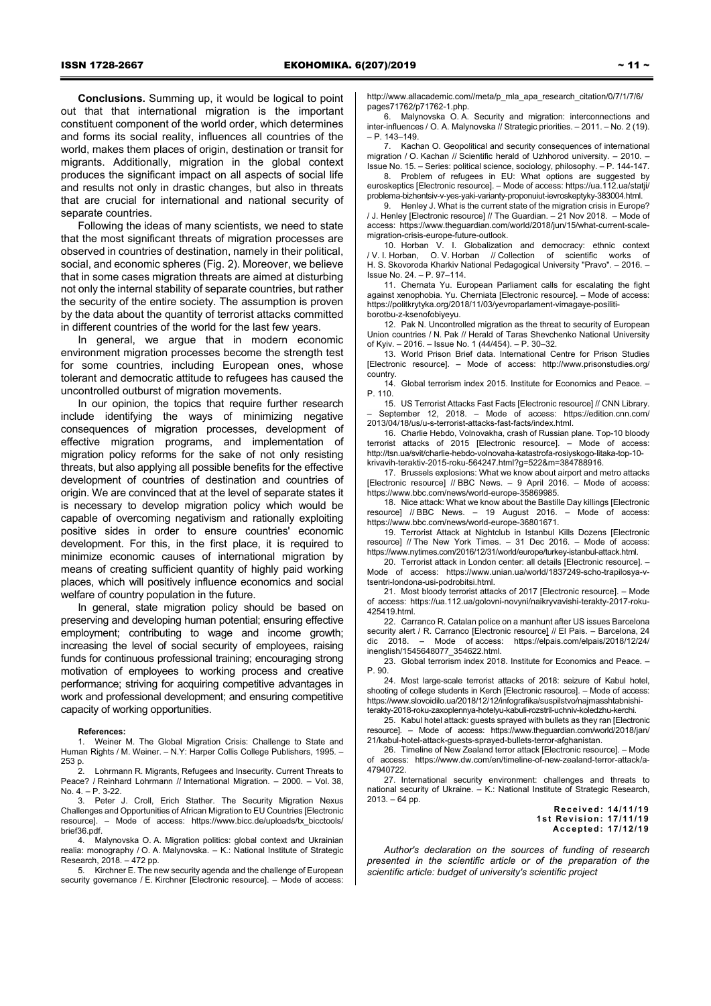**Conclusions.** Summing up, it would be logical to point out that that international migration is the important constituent component of the world order, which determines and forms its social reality, influences all countries of the world, makes them places of origin, destination or transit for migrants. Additionally, migration in the global context produces the significant impact on all aspects of social life and results not only in drastic changes, but also in threats that are crucial for international and national security of separate countries.

Following the ideas of many scientists, we need to state that the most significant threats of migration processes are observed in countries of destination, namely in their political, social, and economic spheres (Fig. 2). Moreover, we believe that in some cases migration threats are aimed at disturbing not only the internal stability of separate countries, but rather the security of the entire society. The assumption is proven by the data about the quantity of terrorist attacks committed in different countries of the world for the last few years.

In general, we argue that in modern economic environment migration processes become the strength test for some countries, including European ones, whose tolerant and democratic attitude to refugees has caused the uncontrolled outburst of migration movements.

In our opinion, the topics that require further research include identifying the ways of minimizing negative consequences of migration processes, development of effective migration programs, and implementation of migration policy reforms for the sake of not only resisting threats, but also applying all possible benefits for the effective development of countries of destination and countries of origin. We are convinced that at the level of separate states it is necessary to develop migration policy which would be capable of overcoming negativism and rationally exploiting positive sides in order to ensure countries' economic development. For this, in the first place, it is required to minimize economic causes of international migration by means of creating sufficient quantity of highly paid working places, which will positively influence economics and social welfare of country population in the future.

In general, state migration policy should be based on preserving and developing human potential; ensuring effective employment; contributing to wage and income growth; increasing the level of social security of employees, raising funds for continuous professional training; encouraging strong motivation of employees to working process and creative performance; striving for acquiring competitive advantages in work and professional development; and ensuring competitive capacity of working opportunities.

**References:**

1. Weiner M. The Global Migration Crisis: Challenge to State and Human Rights / M. Weiner. – N.Y: Harper Collis College Publishers, 1995. – 253 p.

2. Lohrmann R. Migrants, Refugees and Insecurity. Current Threats to Peace? / Reinhard Lohrmann // International Migration. - 2000. - Vol. 38, No. 4. – P. 3-22.

3. Peter J. Croll, Erich Stather. The Security Migration Nexus Challenges and Opportunities of African Migration to EU Countries [Electronic resource]. – Mode of access: https://www.bicc.de/uploads/tx\_bicctools/ brief36.pdf.

4. Malynovska O. A. Migration politics: global context and Ukrainian realia: monography / O. A. Malynovska. – K.: National Institute of Strategic Research, 2018. – 472 pp.

5. Kirchner Е. The new security agenda and the challenge of European security governance / E. Kirchner [Electronic resource]. - Mode of access:

http://www.allacademic.com//meta/p\_mla\_apa\_research\_citation/0/7/1/7/6/ pages71762/p71762-1.php.

6. Malynovska O. A. Security and migration: interconnections and inter-influences / O. A. Malynovska // Strategic priorities. – 2011. – No. 2 (19). – P. 143–149.

7. Kachan O. Geopolitical and security consequences of international migration / O. Kachan // Scientific herald of Uzhhorod university. - 2010. -Issue No. 15. – Series: political science, sociology, philosophy. – P. 144-147.

8. Problem of refugees in EU: What options are suggested by euroskeptics [Electronic resource]. – Mode of access: https://ua.112.ua/statji/ problema-bizhentsiv-v-yes-yaki-varianty-proponuiut-ievroskeptyky-383004.html.

9. Henley J. What is the current state of the migration crisis in Furone? / J. Henley [Electronic resource] // The Guardian. – 21 Nov 2018. – Mode of access: https://www.theguardian.com/world/2018/jun/15/what-current-scalemigration-crisis-europe-future-outlook.

10. Horban V. I. Globalization and democracy: ethnic context / V. I. Horban, O. V. Horban // Collection of scientific works of H. S. Skovoroda Kharkiv National Pedagogical University "Pravo". – 2016. – Issue No. 24. – P. 97–114.

11. Chernata Yu. European Parliament calls for escalating the fight against xenophobia. Yu. Cherniata [Electronic resource]. – Mode of access: https://politkrytyka.org/2018/11/03/yevroparlament-vimagaye-posilitiborotbu-z-ksenofobiyeyu.

12. Pak N. Uncontrolled migration as the threat to security of European Union countries / N. Pak // Herald of Taras Shevchenko National University of Kyiv. – 2016. – Issue No. 1 (44/454). – P. 30–32.

13. World Prison Brief data. International Centre for Prison Studies [Electronic resource]. – Mode of access: http://www.prisonstudies.org/ country.

14. Global terrorism index 2015. Institute for Economics and Peace. – P. 110.

15. US Terrorist Attacks Fast Facts [Electronic resource] // CNN Library. – September 12, 2018. – Mode of access: https://edition.cnn.com/ 2013/04/18/us/u-s-terrorist-attacks-fast-facts/index.html.

16. Charlie Hebdo, Volnovakha, crash of Russian plane. Top-10 bloody terrorist attacks of 2015 [Electronic resource]. – Mode of access: http://tsn.ua/svit/charlie-hebdo-volnovaha-katastrofa-rosiyskogo-litaka-top-10 krivavih-teraktiv-2015-roku-564247.html?g=522&m=384788916.

17. Brussels explosions: What we know about airport and metro attacks [Electronic resource] // BBC News. – 9 April 2016. – Mode of access: https://www.bbc.com/news/world-europe-35869985.

18. Nice attack: What we know about the Bastille Day killings [Electronic resource] // BBC News. – 19 August 2016. – Mode of access: https://www.bbc.com/news/world-europe-36801671.

19. Terrorist Attack at Nightclub in Istanbul Kills Dozens [Electronic resource] // The New York Times. – 31 Dec 2016. – Mode of access: https://www.nytimes.com/2016/12/31/world/europe/turkey-istanbul-attack.html.

20. Terrorist attack in London center: all details [Electronic resource]. Mode of access: https://www.unian.ua/world/1837249-scho-trapilosya-vtsentri-londona-usi-podrobitsi.html.

21. Most bloody terrorist attacks of 2017 [Electronic resource]. – Mode of access: https://ua.112.ua/golovni-novyni/naikryvavishi-terakty-2017-roku-425419.html.

22. Carranco R. Catalan police on a manhunt after US issues Barcelona security alert / R. Carranco [Electronic resource] // El Pais. – Barcelona, 24 dic 2018. – Mode of access: https://elpais.com/elpais/2018/12/24/ inenglish/1545648077\_354622.html.

23. Global terrorism index 2018. Institute for Economics and Peace. – P. 90.

24. Most large-scale terrorist attacks of 2018: seizure of Kabul hotel, shooting of college students in Kerch [Electronic resource]. – Mode of access: https://www.slovoidilo.ua/2018/12/12/infografika/suspilstvo/najmasshtabnishiterakty-2018-roku-zaxoplennya-hotelyu-kabuli-rozstril-uchniv-koledzhu-kerchi.

25. Kabul hotel attack: guests sprayed with bullets as they ran [Electronic resource]. – Mode of access: https://www.theguardian.com/world/2018/jan/ 21/kabul-hotel-attack-guests-sprayed-bullets-terror-afghanistan.

26. Timeline of New Zealand terror attack [Electronic resource]. – Mode of access: https://www.dw.com/en/timeline-of-new-zealand-terror-attack/a-47940722.

27. International security environment: challenges and threats to national security of Ukraine. – K.: National Institute of Strategic Research, 2013. – 64 pp.

> **Received: 14/11/19 1st Revision: 17/11/19 Accepted: 17/12/19**

*Author's declaration on the sources of funding of research presented in the scientific article or of the preparation of the scientific article: budget of university's scientific project*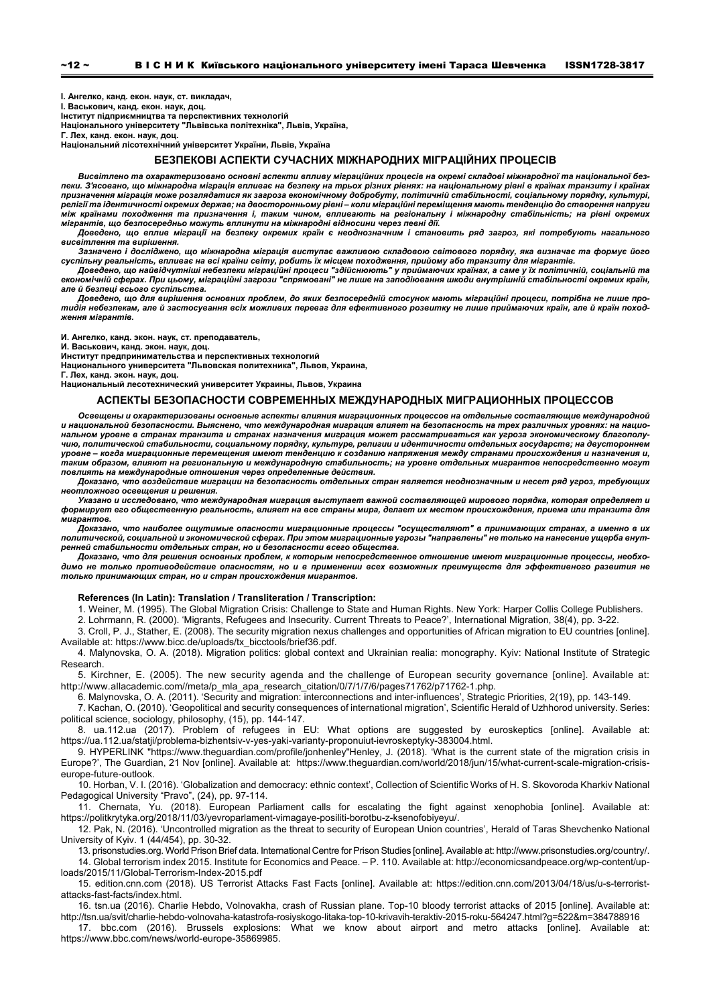**І. Ангелко, канд. екон. наук, ст. викладач,** 

**І. Васькович, канд. екон. наук, доц.** 

**Інститут підприємництва та перспективних технологій Національного університету "Львівська політехніка", Львів, Україна,** 

**Г. Лех, канд. екон. наук, доц.** 

**Національний лісотехнічний університет України, Львів, Україна** 

#### **БЕЗПЕКОВІ АСПЕКТИ СУЧАСНИХ МІЖНАРОДНИХ МІГРАЦІЙНИХ ПРОЦЕСІВ**

Висвітлено та охарактеризовано основні аспекти впливу міграційних процесів на окремі складові міжнародної та національної безпеки. З'ясовано, що міжнародна міграція впливає на безпеку на трьох різних рівнях: на національному рівні в країнах транзиту і країнах призначення міграція може розглядатися як загроза економічному добробуту, політичній стабільності, соціальному порядку, культурі, релігії та ідентичності окремих держав; на деосторонньому рівні-коли міграційні переміщення мають тенденцію до створення напруги між країнами походження та призначення і, таким чином, впливають на регіональну і міжнародну стабільність; на рівні окремих<br>мігрантів, що безпосередньо можуть вплинути на міжнародні відносини через певні дії.

Доведено, що вплив міграції на безпеку окремих країн є неоднозначним і становить ряд загроз, які потребують нагального *висвітлення та вирішення.* 

Зазначено і досліджено, що міжнародна міграція виступає важливою складовою світового порядку, яка визначає та формує його суспільну реальність, впливає на всі країни світу, робить їх місцем походження, прийому або транзиту для мігрантів.<br>Доведено, що найвідчутніші небезпеки міграційні процеси "здійснюють" у приймаючих країнах, а саме у їх по

економічній сферах. При цьому, міграційні загрози "спрямовані" не лише на заподіювання шкоди внутрішній стабільності окремих країн, *але й безпеці всього суспільства.* 

Доведено, що для вирішення основних проблем, до яких безпосередній стосунок мають міграційні процеси, потрібна не лише протидія небезпекам, але й застосування всіх можливих переваг для ефективного розвитку не лише приймаючих країн, але й країн поход*ження мігрантів.* 

**И. Ангелко, канд. экон. наук, ст. преподаватель,** 

**И. Васькович, канд. экон. наук, доц.** 

**Институт предпринимательства и перспективных технологий** 

**Национального университета "Львовская политехника", Львов, Украина,** 

**Г. Лех, канд. экон. наук, доц.** 

**Национальный лесотехнический университет Украины, Львов, Украина** 

## **АСПЕКТЫ БЕЗОПАСНОСТИ СОВРЕМЕННЫХ МЕЖДУНАРОДНЫХ МИГРАЦИОННЫХ ПРОЦЕССОВ**

*Освещены и охарактеризованы основные аспекты влияния миграционных процессов на отдельные составляющие международной* и национальной безопасности. Выяснено, что международная миграция влияет на безопасность на трех различных уровнях: на национальном уровне в странах транзита и странах назначения миграция может рассматриваться как угроза экономическому благополучию, политической стабильности, социальному порядку, культуре, религии и идентичности отдельных государств; на двустороннем<br>уровне – когда миграционные перемещения имеют тенденцию к созданию напряжения между странами прои .<br>таким образом, влияют на региональную и международную стабильность; на уровне отдельных мигрантов непосредственно могут *повлиять на международные отношения через определенные действия.* 

Доказано, что воздействие миграции на безопасность отдельных стран является неоднозначным и несет ряд угроз, требующих *неотложного освещения и решения.* 

Указано и исследовано, что международная миграция выступает важной составляющей мирового порядка, которая определяет и<br>формирует его общественную реальность, влияет на все страны мира, делает их местом происхождения, прие *мигрантов.* 

.<br>Доказано, что наиболее ощутимые опасности миграционные процессы "осуществляют" в принимающих странах, а именно в их политической, социальной и экономической сферах. При этом миграционные угрозы "направлены" не только на нанесение ущерба внут*ренней стабильности отдельных стран, но и безопасности всего общества.* 

Доказано, что для решения основных проблем, к которым непосредственное отношение имеют миграционные процессы, необходимо не только противодействие опасностям, но и в применении всех возможных преимуществ для эффективного развития не *только принимающих стран, но и стран происхождения мигрантов.* 

#### **References (In Latin): Translation / Transliteration / Transcription:**

1. Weiner, M. (1995). The Global Migration Crisis: Challenge to State and Human Rights. New York: Harper Collis College Publishers.

2. Lohrmann, R. (2000). 'Migrants, Refugees and Insecurity. Current Threats to Peace?', International Migration, 38(4), pp. 3-22.

3. Croll, P. J., Stather, E. (2008). The security migration nexus challenges and opportunities of African migration to EU countries [online]. Available at: https://www.bicc.de/uploads/tx\_bicctools/brief36.pdf.

4. Malynovska, O. A. (2018). Migration politics: global context and Ukrainian realia: monography. Kyiv: National Institute of Strategic Research.

5. Kirchner, Е. (2005). The new security agenda and the challenge of European security governance [online]. Available at: http://www.allacademic.com//meta/p\_mla\_apa\_research\_citation/0/7/1/7/6/pages71762/p71762-1.php.

6. Malynovska, O. A. (2011). 'Security and migration: interconnections and inter-influences', Strategic Priorities, 2(19), pp. 143-149.

7. Kachan, O. (2010). 'Geopolitical and security consequences of international migration', Scientific Herald of Uzhhorod university. Series: political science, sociology, philosophy, (15), pp. 144-147.

8. ua.112.ua (2017). Problem of refugees in EU: What options are suggested by euroskeptics [online]. Available at: https://ua.112.ua/statji/problema-bizhentsiv-v-yes-yaki-varianty-proponuiut-ievroskeptyky-383004.html.

9. HYPERLINK "https://www.theguardian.com/profile/jonhenley"Henley, J. (2018). 'What is the current state of the migration crisis in Europe?', The Guardian, 21 Nov [online]. Available at: https://www.theguardian.com/world/2018/jun/15/what-current-scale-migration-crisiseurope-future-outlook.

10. Horban, V. I. (2016). 'Globalization and democracy: ethnic context', Collection of Scientific Works of H. S. Skovoroda Kharkiv National Pedagogical University "Pravo", (24), pp. 97-114.

11. Chernata, Yu. (2018). European Parliament calls for escalating the fight against xenophobia [online]. Available at: https://politkrytyka.org/2018/11/03/yevroparlament-vimagaye-posiliti-borotbu-z-ksenofobiyeyu/.

12. Pak, N. (2016). 'Uncontrolled migration as the threat to security of European Union countries', Herald of Taras Shevchenko National University of Kyiv. 1 (44/454), pp. 30-32.

13. prisonstudies.org. World Prison Brief data. International Centre for Prison Studies [online]. Available at: http://www.prisonstudies.org/country/. 14. Global terrorism index 2015. Institute for Economics and Peace. – P. 110. Available at: http://economicsandpeace.org/wp-content/up-

loads/2015/11/Global-Terrorism-Index-2015.pdf 15. edition.cnn.com (2018). US Terrorist Attacks Fast Facts [online]. Available at: https://edition.cnn.com/2013/04/18/us/u-s-terrorist-

attacks-fast-facts/index.html.

16. tsn.ua (2016). Charlie Hebdo, Volnovakha, crash of Russian plane. Top-10 bloody terrorist attacks of 2015 [online]. Available at:

http://tsn.ua/svit/charlie-hebdo-volnovaha-katastrofa-rosiyskogo-litaka-top-10-krivavih-teraktiv-2015-roku-564247.html?g=522&m=384788916 What we know about airport and metro attacks [online]. Available at: https://www.bbc.com/news/world-europe-35869985.